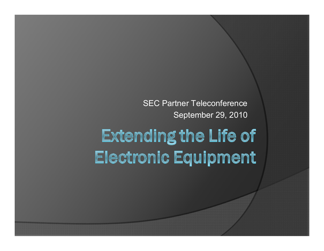SEC Partner Teleconference September 29, 2010

# **Extending the Life of** Electronic Equipment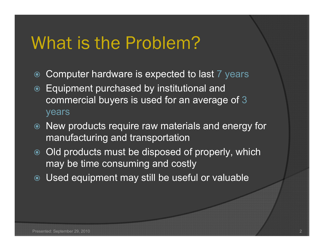# What is the Problem?

- $\odot$ Computer hardware is expected to last 7 years
- $\odot$  Equipment purchased by institutional and commercial buyers is used for an average of 3 years
- New products require raw materials and energy for manufacturing and transportation
- Old products must be disposed of properly, which may be time consuming and costly
- Used equipment may still be useful or valuable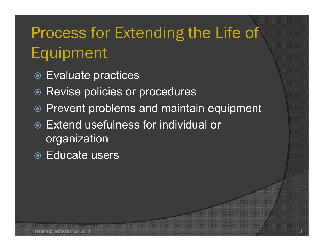# Process for Extending the Life of Equipment

- Evaluate practices
- **◎ Revise policies or procedures**
- Prevent problems and maintain equipment
- Extend usefulness for individual or organization
- Educate users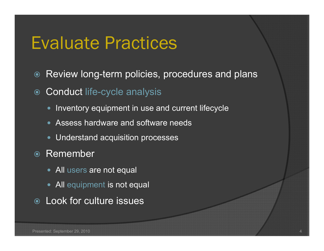## Evaluate Practices

 $\odot$ Review long-term policies, procedures and plans

- $\odot$  Conduct life-cycle analysis
	- Inventory equipment in use and current lifecycle
	- Assess hardware and software needs
	- Understand acquisition processes
- **◎ Remember** 
	- All users are not equal
	- All equipment is not equal
- Look for culture issues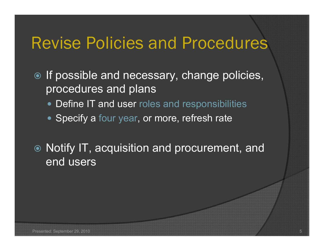### Revise Policies and Procedures

- $\odot$  If possible and necessary, change policies, procedures and plans
	- Define IT and user roles and responsibilities
	- Specify a four year, or more, refresh rate
- Notify IT, acquisition and procurement, and end users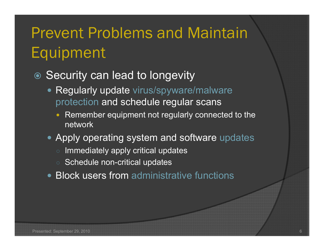# Prevent Problems and Maintain Equipment

#### ● Security can lead to longevity

- Regularly update virus/spyware/malware protection and schedule regular scans
	- Remember equipment not regularly connected to the network
- Apply operating system and software updates
	- $\, \circ \,$  Immediately apply critical updates
	- Schedule non-critical updates
- Block users from administrative functions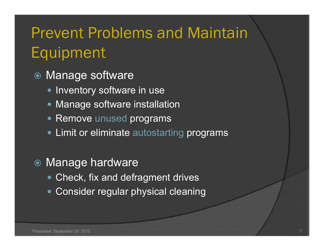## Prevent Problems and Maintain Equipment

- Manage software
	- Inventory software in use
	- Manage software installation
	- Remove unused programs
	- Limit or eliminate autostarting programs
- Manage hardware
	- Check, fix and defragment drives
	- Consider regular physical cleaning

7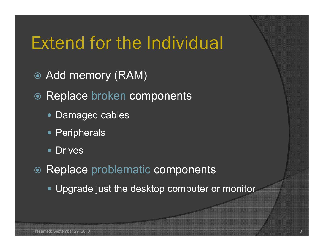# Extend for the Individual

- Add memory (RAM)
- Replace broken components
	- Damaged cables
	- Peripherals
	- $\bullet$ **Drives**
- Replace problematic components
	- Upgrade just the desktop computer or monitor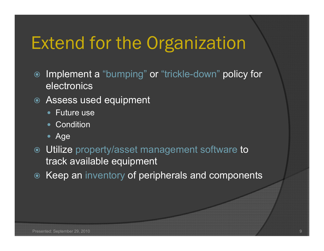# Extend for the Organization

- $\odot$  Implement a "bumping" or "trickle-down" policy for electronics
- Assess used equipment
	- Future use
	- Condition
	- Age
- Utilize property/asset management software to track available equipment
- Keep an inventory of peripherals and components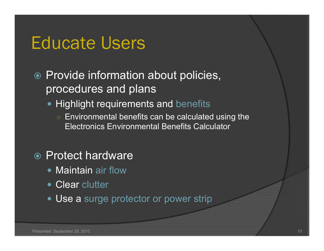### Educate Users

#### **◎ Provide information about policies,** procedures and plans

- Highlight requirements and benefits
	- $\circ$  Environmental benefits can be calculated using the Electronics Environmental Benefits Calculator

#### ● Protect hardware

- Maintain air flow
- Clear clutter
- Use a surge protector or power strip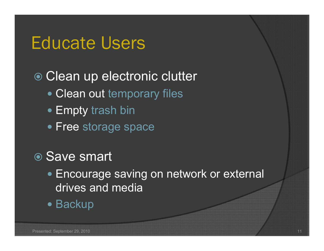### Educate Users

### ● Clean up electronic clutter

- Clean out temporary files
- Empty trash bin
- Free storage space

### **◎ Save smart**

- Encourage saving on network or external drives and media
- Backup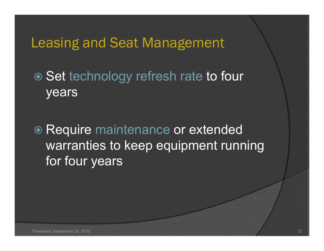### Leasing and Seat Management

● Set technology refresh rate to four years

● Require maintenance or extended warranties to keep equipment running for four years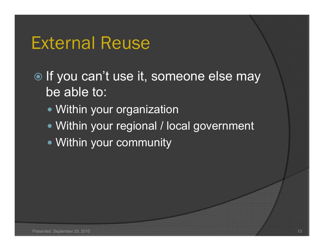### External Reuse

 $\odot$  If you can't use it, someone else may be able to:

- Within your organization
- Within your regional / local government
- Within your community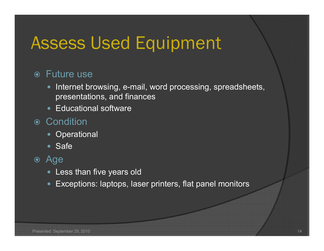# Assess Used Equipment

#### Future use

- Internet browsing, e-mail, word processing, spreadsheets, presentations, and finances
- Educational software

#### **◎ Condition**

- Operational
- Safe

#### Age

- Less than five years old
- Exceptions: laptops, laser printers, flat panel monitors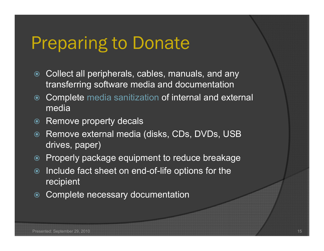## Preparing to Donate

- Collect all peripherals, cables, manuals, and any transferring software media and documentation
- $\odot$  Complete media sanitization of internal and external media
- $\odot$ Remove property decals
- $\odot$ Remove external media (disks, CDs, DVDs, USB drives, paper)
- Properly package equipment to reduce breakage
- $\odot$  Include fact sheet on end-of-life options for the recipient
- $\odot$ Complete necessary documentation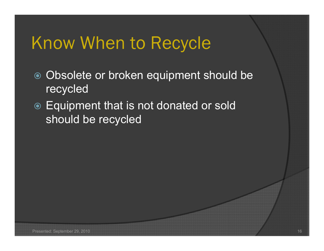# Know When to Recycle

- Obsolete or broken equipment should be recycled
- Equipment that is not donated or sold should be recycled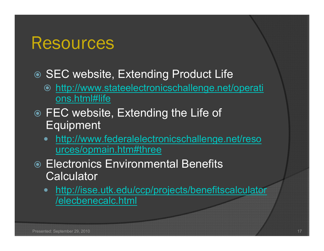### Resources

### ● SEC website, Extending Product Life

- http://www.stateelectronicschallenge.net/operati ons.html#life
- **◎ FEC website, Extending the Life of** Equipment
	- http://www.federalelectronicschallenge.net/reso urces/opmain.htm#three
- **Electronics Environmental Benefits** Calculator
	- $\bullet$  http://isse.utk.edu/ccp/projects/benefitscalculator /elecbenecalc.html